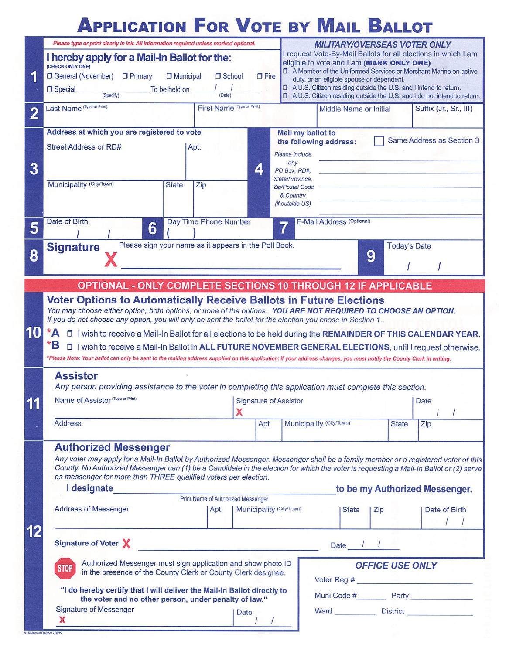### **APPLICATION FOR VOTE BY MAIL BALLOT**

|                                                                                     | Please type or print clearly in ink. All information required unless marked optional.                                                                                                                                                                                                                    |                            |                                                                                                               |                                                                   | <b>MILITARY/OVERSEAS VOTER ONLY</b>                                                                                                                                                                                                 |              |                           |  |
|-------------------------------------------------------------------------------------|----------------------------------------------------------------------------------------------------------------------------------------------------------------------------------------------------------------------------------------------------------------------------------------------------------|----------------------------|---------------------------------------------------------------------------------------------------------------|-------------------------------------------------------------------|-------------------------------------------------------------------------------------------------------------------------------------------------------------------------------------------------------------------------------------|--------------|---------------------------|--|
|                                                                                     | I hereby apply for a Mail-In Ballot for the:                                                                                                                                                                                                                                                             |                            |                                                                                                               |                                                                   | I request Vote-By-Mail Ballots for all elections in which I am<br>eligible to vote and I am (MARK ONLY ONE)                                                                                                                         |              |                           |  |
| 1                                                                                   | (CHECK ONLY ONE)<br>□ General (November) □ Primary<br><b>D</b> Municipal<br>□ School<br>$\Box$ Fire                                                                                                                                                                                                      |                            |                                                                                                               | □ A Member of the Uniformed Services or Merchant Marine on active |                                                                                                                                                                                                                                     |              |                           |  |
|                                                                                     | duty, or an eligible spouse or dependent.<br>□ A U.S. Citizen residing outside the U.S. and I intend to return.<br>To be held on<br><b>Special</b><br>D A U.S. Citizen residing outside the U.S. and I do not intend to return.<br>(Specify)<br>(Date)                                                   |                            |                                                                                                               |                                                                   |                                                                                                                                                                                                                                     |              |                           |  |
| $\overline{2}$                                                                      | Last Name (Type or Print)                                                                                                                                                                                                                                                                                | First Name (Type or Print) |                                                                                                               |                                                                   | Middle Name or Initial                                                                                                                                                                                                              |              | Suffix (Jr., Sr., III)    |  |
|                                                                                     | Address at which you are registered to vote                                                                                                                                                                                                                                                              |                            |                                                                                                               | Mail my ballot to                                                 |                                                                                                                                                                                                                                     |              | Same Address as Section 3 |  |
|                                                                                     | the following address:<br>Street Address or RD#<br>Apt.<br>Please include                                                                                                                                                                                                                                |                            |                                                                                                               |                                                                   |                                                                                                                                                                                                                                     |              |                           |  |
| 3                                                                                   |                                                                                                                                                                                                                                                                                                          |                            | 4                                                                                                             | any<br>PO Box, RD#,                                               |                                                                                                                                                                                                                                     |              |                           |  |
|                                                                                     | Municipality (City/Town)<br><b>State</b><br>Zip                                                                                                                                                                                                                                                          |                            |                                                                                                               | State/Province,                                                   |                                                                                                                                                                                                                                     |              |                           |  |
|                                                                                     |                                                                                                                                                                                                                                                                                                          |                            |                                                                                                               | <b>Zip/Postal Code</b><br>& Country                               |                                                                                                                                                                                                                                     |              |                           |  |
|                                                                                     |                                                                                                                                                                                                                                                                                                          |                            |                                                                                                               | (if outside US)                                                   |                                                                                                                                                                                                                                     |              |                           |  |
| 5                                                                                   | Date of Birth<br>Day Time Phone Number<br>6                                                                                                                                                                                                                                                              |                            |                                                                                                               |                                                                   | E-Mail Address (Optional)                                                                                                                                                                                                           |              |                           |  |
| 8                                                                                   | Please sign your name as it appears in the Poll Book.<br><b>Today's Date</b><br><b>Signature</b>                                                                                                                                                                                                         |                            |                                                                                                               |                                                                   |                                                                                                                                                                                                                                     |              |                           |  |
|                                                                                     | 9                                                                                                                                                                                                                                                                                                        |                            |                                                                                                               |                                                                   |                                                                                                                                                                                                                                     |              |                           |  |
| <b>OPTIONAL - ONLY COMPLETE SECTIONS 10 THROUGH 12 IF APPLICABLE</b>                |                                                                                                                                                                                                                                                                                                          |                            |                                                                                                               |                                                                   |                                                                                                                                                                                                                                     |              |                           |  |
|                                                                                     | <b>Voter Options to Automatically Receive Ballots in Future Elections</b><br>You may choose either option, both options, or none of the options. YOU ARE NOT REQUIRED TO CHOOSE AN OPTION.<br>If you do not choose any option, you will only be sent the ballot for the election you chose in Section 1. |                            |                                                                                                               |                                                                   |                                                                                                                                                                                                                                     |              |                           |  |
|                                                                                     |                                                                                                                                                                                                                                                                                                          |                            |                                                                                                               |                                                                   |                                                                                                                                                                                                                                     |              |                           |  |
| 10                                                                                  | *A                                                                                                                                                                                                                                                                                                       |                            | D I wish to receive a Mail-In Ballot for all elections to be held during the REMAINDER OF THIS CALENDAR YEAR. |                                                                   |                                                                                                                                                                                                                                     |              |                           |  |
|                                                                                     | *B<br>D I wish to receive a Mail-In Ballot in ALL FUTURE NOVEMBER GENERAL ELECTIONS, until I request otherwise.                                                                                                                                                                                          |                            |                                                                                                               |                                                                   |                                                                                                                                                                                                                                     |              |                           |  |
|                                                                                     | *Please Note: Your ballot can only be sent to the mailing address supplied on this application; if your address changes, you must notify the County Clerk in writing.                                                                                                                                    |                            |                                                                                                               |                                                                   |                                                                                                                                                                                                                                     |              |                           |  |
|                                                                                     | <b>Assistor</b><br>Any person providing assistance to the voter in completing this application must complete this section.                                                                                                                                                                               |                            |                                                                                                               |                                                                   |                                                                                                                                                                                                                                     |              |                           |  |
| 11                                                                                  | Name of Assistor (Type or Print)<br><b>Signature of Assistor</b>                                                                                                                                                                                                                                         |                            |                                                                                                               | <b>Date</b>                                                       |                                                                                                                                                                                                                                     |              |                           |  |
| . .                                                                                 | X                                                                                                                                                                                                                                                                                                        |                            |                                                                                                               |                                                                   |                                                                                                                                                                                                                                     |              |                           |  |
|                                                                                     | <b>Address</b>                                                                                                                                                                                                                                                                                           |                            | Apt.                                                                                                          | Municipality (City/Town)                                          |                                                                                                                                                                                                                                     | <b>State</b> | Zip                       |  |
|                                                                                     | <b>Authorized Messenger</b>                                                                                                                                                                                                                                                                              |                            |                                                                                                               |                                                                   |                                                                                                                                                                                                                                     |              |                           |  |
|                                                                                     | Any voter may apply for a Mail-In Ballot by Authorized Messenger. Messenger shall be a family member or a registered voter of this                                                                                                                                                                       |                            |                                                                                                               |                                                                   |                                                                                                                                                                                                                                     |              |                           |  |
|                                                                                     | County. No Authorized Messenger can (1) be a Candidate in the election for which the voter is requesting a Mail-In Ballot or (2) serve<br>as messenger for more than THREE qualified voters per election.                                                                                                |                            |                                                                                                               |                                                                   |                                                                                                                                                                                                                                     |              |                           |  |
| I designate<br>Print Name of Authorized Messenger<br>to be my Authorized Messenger. |                                                                                                                                                                                                                                                                                                          |                            |                                                                                                               |                                                                   |                                                                                                                                                                                                                                     |              |                           |  |
|                                                                                     | <b>Address of Messenger</b><br>Municipality (City/Town)<br>Apt.                                                                                                                                                                                                                                          |                            |                                                                                                               |                                                                   | <b>State</b>                                                                                                                                                                                                                        | Zip          | Date of Birth             |  |
|                                                                                     |                                                                                                                                                                                                                                                                                                          |                            |                                                                                                               |                                                                   |                                                                                                                                                                                                                                     |              |                           |  |
|                                                                                     | Signature of Voter X<br>Date $1/2$<br>Authorized Messenger must sign application and show photo ID<br><b>OFFICE USE ONLY</b>                                                                                                                                                                             |                            |                                                                                                               |                                                                   |                                                                                                                                                                                                                                     |              |                           |  |
|                                                                                     |                                                                                                                                                                                                                                                                                                          |                            |                                                                                                               |                                                                   |                                                                                                                                                                                                                                     |              |                           |  |
|                                                                                     | <b>STOP</b><br>in the presence of the County Clerk or County Clerk designee.                                                                                                                                                                                                                             |                            |                                                                                                               |                                                                   |                                                                                                                                                                                                                                     |              |                           |  |
|                                                                                     | "I do hereby certify that I will deliver the Mail-In Ballot directly to<br>the voter and no other person, under penalty of law."                                                                                                                                                                         |                            |                                                                                                               |                                                                   |                                                                                                                                                                                                                                     |              |                           |  |
|                                                                                     | <b>Signature of Messenger</b>                                                                                                                                                                                                                                                                            | Date                       |                                                                                                               |                                                                   | Ward <u>Nistrict</u> District Nistrict Nights and Nistrict Nights and Nistrict Nights and Nights and Nights and Nights and Nights and Nights and Nights and Nights and Nights and Nights and Nights and Nights and Nights and Night |              |                           |  |
|                                                                                     |                                                                                                                                                                                                                                                                                                          |                            |                                                                                                               |                                                                   |                                                                                                                                                                                                                                     |              |                           |  |